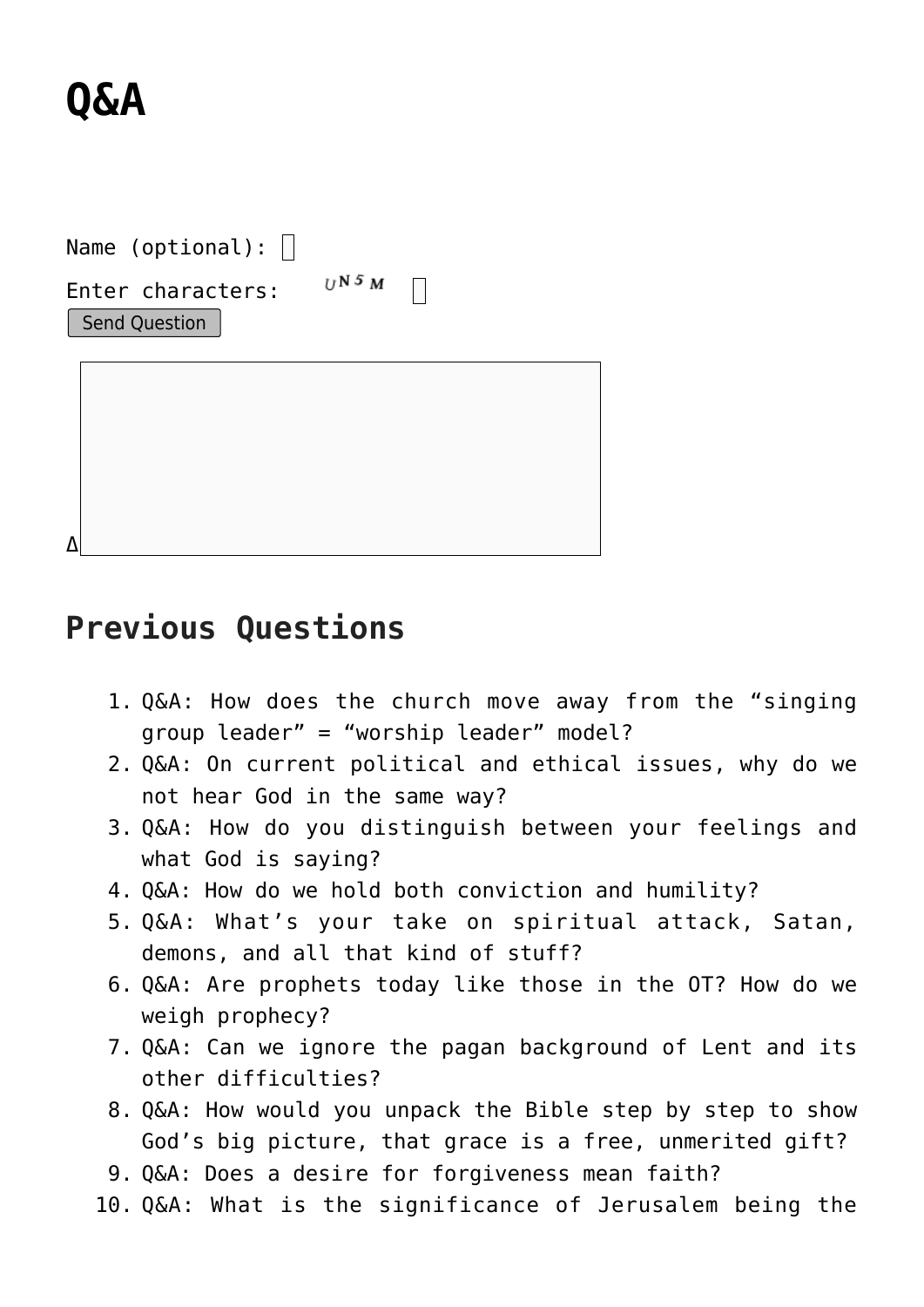## **[Q&A](https://briggs.id.au/jour/qanda/)**

| Name (optional):                          |            |  |
|-------------------------------------------|------------|--|
| Enter characters:<br><b>Send Question</b> | $UN$ 5 $M$ |  |
|                                           |            |  |
|                                           |            |  |
|                                           |            |  |

## **Previous Questions**

- 1. [Q&A: How does the church move away from the "singing](https://briggs.id.au/jour/2021/02/how-does-the-church-move-away-from-the-singing-group-leader-worship-leader-model/) [group leader" = "worship leader" model?](https://briggs.id.au/jour/2021/02/how-does-the-church-move-away-from-the-singing-group-leader-worship-leader-model/)
- 2. [Q&A: On current political and ethical issues, why do we](https://briggs.id.au/jour/2021/01/on-current-political-and-ethical-issues-why-do-we-not-hear-god-in-the-same-way/) [not hear God in the same way?](https://briggs.id.au/jour/2021/01/on-current-political-and-ethical-issues-why-do-we-not-hear-god-in-the-same-way/)
- 3. [Q&A: How do you distinguish between your feelings and](https://briggs.id.au/jour/2020/05/how-do-you-distinguish-between-your-feelings-and-what-god-is-saying/) [what God is saying?](https://briggs.id.au/jour/2020/05/how-do-you-distinguish-between-your-feelings-and-what-god-is-saying/)
- 4. [Q&A: How do we hold both conviction and humility?](https://briggs.id.au/jour/2020/02/how-do-we-hold-both-conviction-and-humility/)
- 5. [Q&A: What's your take on spiritual attack, Satan,](https://briggs.id.au/jour/2019/07/whats-your-take-on-spiritual-attack-satan-demons-and-all-that-kind-of-stuff/) [demons, and all that kind of stuff?](https://briggs.id.au/jour/2019/07/whats-your-take-on-spiritual-attack-satan-demons-and-all-that-kind-of-stuff/)
- 6. [Q&A: Are prophets today like those in the OT? How do we](https://briggs.id.au/jour/2019/07/are-prophets-today-like-those-in-the-ot-how-do-we-weigh-prophecy/) [weigh prophecy?](https://briggs.id.au/jour/2019/07/are-prophets-today-like-those-in-the-ot-how-do-we-weigh-prophecy/)
- 7. [Q&A: Can we ignore the pagan background of Lent and its](https://briggs.id.au/jour/2019/03/can-we-ignore-the-pagan-background-of-lent-and-its-other-difficulties/) [other difficulties?](https://briggs.id.au/jour/2019/03/can-we-ignore-the-pagan-background-of-lent-and-its-other-difficulties/)
- 8. [Q&A: How would you unpack the Bible step by step to show](https://briggs.id.au/jour/2018/04/how-would-you-unpack-the-bible-step-by-step-to-show-gods-big-picture-that-grace-is-a-free-unmerited-gift/) [God's big picture, that grace is a free, unmerited gift?](https://briggs.id.au/jour/2018/04/how-would-you-unpack-the-bible-step-by-step-to-show-gods-big-picture-that-grace-is-a-free-unmerited-gift/)
- 9. [Q&A: Does a desire for forgiveness mean faith?](https://briggs.id.au/jour/2018/02/desire-forgiveness-mean-faith/)
- 10. [Q&A: What is the significance of Jerusalem being the](https://briggs.id.au/jour/2018/02/significance-jerusalem-capital-israel/)